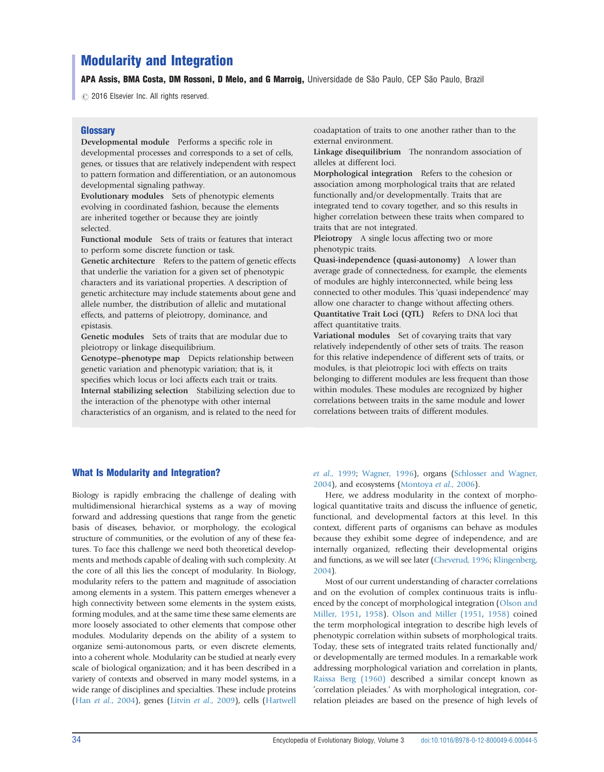# Modularity and Integration

APA Assis, BMA Costa, DM Rossoni, D Melo, and G Marroig, Universidade de São Paulo, CEP São Paulo, Brazil

 $\odot$  2016 Elsevier Inc. All rights reserved.

## **Glossary**

Developmental module Performs a specific role in developmental processes and corresponds to a set of cells, genes, or tissues that are relatively independent with respect to pattern formation and differentiation, or an autonomous developmental signaling pathway.

Evolutionary modules Sets of phenotypic elements evolving in coordinated fashion, because the elements are inherited together or because they are jointly selected.

Functional module Sets of traits or features that interact to perform some discrete function or task.

Genetic architecture Refers to the pattern of genetic effects that underlie the variation for a given set of phenotypic characters and its variational properties. A description of genetic architecture may include statements about gene and allele number, the distribution of allelic and mutational effects, and patterns of pleiotropy, dominance, and epistasis.

Genetic modules Sets of traits that are modular due to pleiotropy or linkage disequilibrium.

Genotype–phenotype map Depicts relationship between genetic variation and phenotypic variation; that is, it specifies which locus or loci affects each trait or traits. Internal stabilizing selection Stabilizing selection due to the interaction of the phenotype with other internal

characteristics of an organism, and is related to the need for

coadaptation of traits to one another rather than to the external environment.

Linkage disequilibrium The nonrandom association of alleles at different loci.

Morphological integration Refers to the cohesion or association among morphological traits that are related functionally and/or developmentally. Traits that are integrated tend to covary together, and so this results in higher correlation between these traits when compared to traits that are not integrated.

Pleiotropy A single locus affecting two or more phenotypic traits.

Quasi-independence (quasi-autonomy) A lower than average grade of connectedness, for example, the elements of modules are highly interconnected, while being less connected to other modules. This 'quasi independence' may allow one character to change without affecting others. Quantitative Trait Loci (QTL) Refers to DNA loci that affect quantitative traits.

Variational modules Set of covarying traits that vary relatively independently of other sets of traits. The reason for this relative independence of different sets of traits, or modules, is that pleiotropic loci with effects on traits belonging to different modules are less frequent than those within modules. These modules are recognized by higher correlations between traits in the same module and lower correlations between traits of different modules.

## What Is Modularity and Integration?

Biology is rapidly embracing the challenge of dealing with multidimensional hierarchical systems as a way of moving forward and addressing questions that range from the genetic basis of diseases, behavior, or morphology, the ecological structure of communities, or the evolution of any of these features. To face this challenge we need both theoretical developments and methods capable of dealing with such complexity. At the core of all this lies the concept of modularity. In Biology, modularity refers to the pattern and magnitude of association among elements in a system. This pattern emerges whenever a high connectivity between some elements in the system exists, forming modules, and at the same time these same elements are more loosely associated to other elements that compose other modules. Modularity depends on the ability of a system to organize semi-autonomous parts, or even discrete elements, into a coherent whole. Modularity can be studied at nearly every scale of biological organization; and it has been described in a variety of contexts and observed in many model systems, in a wide range of disciplines and specialties. These include proteins (Han et al[., 2004](#page-6-0)), genes (Litvin et al[., 2009](#page-6-0)), cells [\(Hartwell](#page-6-0) et al[., 1999;](#page-6-0) [Wagner, 1996](#page-6-0)), organs ([Schlosser and Wagner,](#page-6-0) [2004](#page-6-0)), and ecosystems [\(Montoya](#page-6-0) et al., 2006).

Here, we address modularity in the context of morphological quantitative traits and discuss the influence of genetic, functional, and developmental factors at this level. In this context, different parts of organisms can behave as modules because they exhibit some degree of independence, and are internally organized, reflecting their developmental origins and functions, as we will see later [\(Cheverud, 1996](#page-5-0); [Klingenberg,](#page-6-0) [2004\)](#page-6-0).

Most of our current understanding of character correlations and on the evolution of complex continuous traits is influenced by the concept of morphological integration [\(Olson and](#page-6-0) [Miller, 1951,](#page-6-0) [1958](#page-6-0)). [Olson and Miller \(1951,](#page-6-0) [1958\)](#page-6-0) coined the term morphological integration to describe high levels of phenotypic correlation within subsets of morphological traits. Today, these sets of integrated traits related functionally and/ or developmentally are termed modules. In a remarkable work addressing morphological variation and correlation in plants, [Raissa Berg \(1960\)](#page-5-0) described a similar concept known as 'correlation pleiades.' As with morphological integration, correlation pleiades are based on the presence of high levels of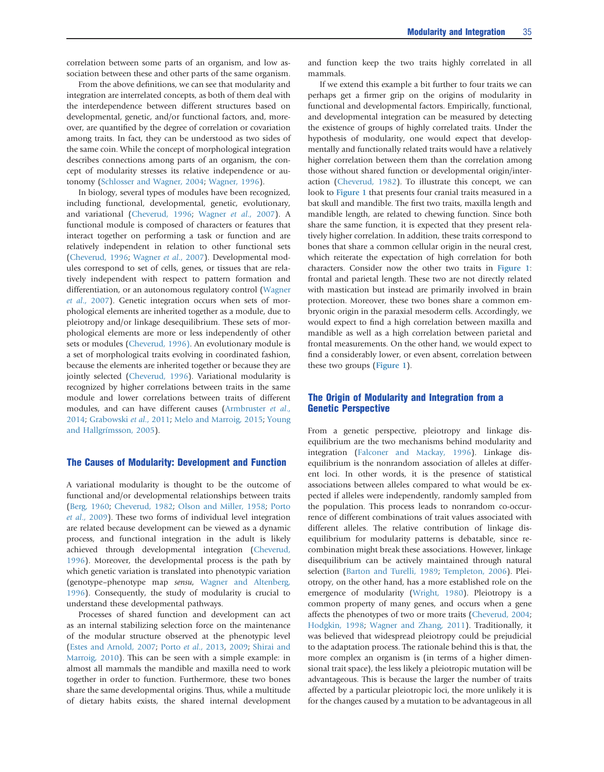correlation between some parts of an organism, and low association between these and other parts of the same organism.

From the above definitions, we can see that modularity and integration are interrelated concepts, as both of them deal with the interdependence between different structures based on developmental, genetic, and/or functional factors, and, moreover, are quantified by the degree of correlation or covariation among traits. In fact, they can be understood as two sides of the same coin. While the concept of morphological integration describes connections among parts of an organism, the concept of modularity stresses its relative independence or autonomy ([Schlosser and Wagner, 2004;](#page-6-0) [Wagner, 1996\)](#page-6-0).

In biology, several types of modules have been recognized, including functional, developmental, genetic, evolutionary, and variational ([Cheverud, 1996](#page-5-0); Wagner et al[., 2007\)](#page-6-0). A functional module is composed of characters or features that interact together on performing a task or function and are relatively independent in relation to other functional sets ([Cheverud, 1996;](#page-5-0) [Wagner](#page-6-0) et al., 2007). Developmental modules correspond to set of cells, genes, or tissues that are relatively independent with respect to pattern formation and differentiation, or an autonomous regulatory control ([Wagner](#page-6-0) et al[., 2007\)](#page-6-0). Genetic integration occurs when sets of morphological elements are inherited together as a module, due to pleiotropy and/or linkage desequilibrium. These sets of morphological elements are more or less independently of other sets or modules ([Cheverud, 1996\)](#page-5-0). An evolutionary module is a set of morphological traits evolving in coordinated fashion, because the elements are inherited together or because they are jointly selected ([Cheverud, 1996\)](#page-5-0). Variational modularity is recognized by higher correlations between traits in the same module and lower correlations between traits of different modules, and can have different causes [\(Armbruster](#page-5-0) et al., [2014](#page-5-0); [Grabowski](#page-5-0) et al., 2011; [Melo and Marroig, 2015](#page-6-0); [Young](#page-6-0) [and Hallgrímsson, 2005\)](#page-6-0).

## The Causes of Modularity: Development and Function

A variational modularity is thought to be the outcome of functional and/or developmental relationships between traits ([Berg, 1960;](#page-5-0) [Cheverud, 1982](#page-5-0); [Olson and Miller, 1958](#page-6-0); [Porto](#page-6-0) et al[., 2009](#page-6-0)). These two forms of individual level integration are related because development can be viewed as a dynamic process, and functional integration in the adult is likely achieved through developmental integration [\(Cheverud,](#page-5-0) [1996](#page-5-0)). Moreover, the developmental process is the path by which genetic variation is translated into phenotypic variation (genotype–phenotype map sensu, [Wagner and Altenberg,](#page-6-0) [1996](#page-6-0)). Consequently, the study of modularity is crucial to understand these developmental pathways.

Processes of shared function and development can act as an internal stabilizing selection force on the maintenance of the modular structure observed at the phenotypic level ([Estes and Arnold, 2007;](#page-5-0) Porto et al[., 2013](#page-6-0), [2009](#page-6-0); [Shirai and](#page-6-0) [Marroig, 2010\)](#page-6-0). This can be seen with a simple example: in almost all mammals the mandible and maxilla need to work together in order to function. Furthermore, these two bones share the same developmental origins. Thus, while a multitude of dietary habits exists, the shared internal development

and function keep the two traits highly correlated in all mammals.

If we extend this example a bit further to four traits we can perhaps get a firmer grip on the origins of modularity in functional and developmental factors. Empirically, functional, and developmental integration can be measured by detecting the existence of groups of highly correlated traits. Under the hypothesis of modularity, one would expect that developmentally and functionally related traits would have a relatively higher correlation between them than the correlation among those without shared function or developmental origin/interaction [\(Cheverud, 1982](#page-5-0)). To illustrate this concept, we can look to [Figure 1](#page-2-0) that presents four cranial traits measured in a bat skull and mandible. The first two traits, maxilla length and mandible length, are related to chewing function. Since both share the same function, it is expected that they present relatively higher correlation. In addition, these traits correspond to bones that share a common cellular origin in the neural crest, which reiterate the expectation of high correlation for both characters. Consider now the other two traits in [Figure 1](#page-2-0): frontal and parietal length. These two are not directly related with mastication but instead are primarily involved in brain protection. Moreover, these two bones share a common embryonic origin in the paraxial mesoderm cells. Accordingly, we would expect to find a high correlation between maxilla and mandible as well as a high correlation between parietal and frontal measurements. On the other hand, we would expect to find a considerably lower, or even absent, correlation between these two groups ([Figure 1](#page-2-0)).

# The Origin of Modularity and Integration from a Genetic Perspective

From a genetic perspective, pleiotropy and linkage disequilibrium are the two mechanisms behind modularity and integration ([Falconer and Mackay, 1996\)](#page-5-0). Linkage disequilibrium is the nonrandom association of alleles at different loci. In other words, it is the presence of statistical associations between alleles compared to what would be expected if alleles were independently, randomly sampled from the population. This process leads to nonrandom co-occurrence of different combinations of trait values associated with different alleles. The relative contribution of linkage disequilibrium for modularity patterns is debatable, since recombination might break these associations. However, linkage disequilibrium can be actively maintained through natural selection [\(Barton and Turelli, 1989](#page-5-0); [Templeton, 2006\)](#page-6-0). Pleiotropy, on the other hand, has a more established role on the emergence of modularity ([Wright, 1980\)](#page-6-0). Pleiotropy is a common property of many genes, and occurs when a gene affects the phenotypes of two or more traits ([Cheverud, 2004](#page-5-0); [Hodgkin, 1998](#page-6-0); [Wagner and Zhang, 2011\)](#page-6-0). Traditionally, it was believed that widespread pleiotropy could be prejudicial to the adaptation process. The rationale behind this is that, the more complex an organism is (in terms of a higher dimensional trait space), the less likely a pleiotropic mutation will be advantageous. This is because the larger the number of traits affected by a particular pleiotropic loci, the more unlikely it is for the changes caused by a mutation to be advantageous in all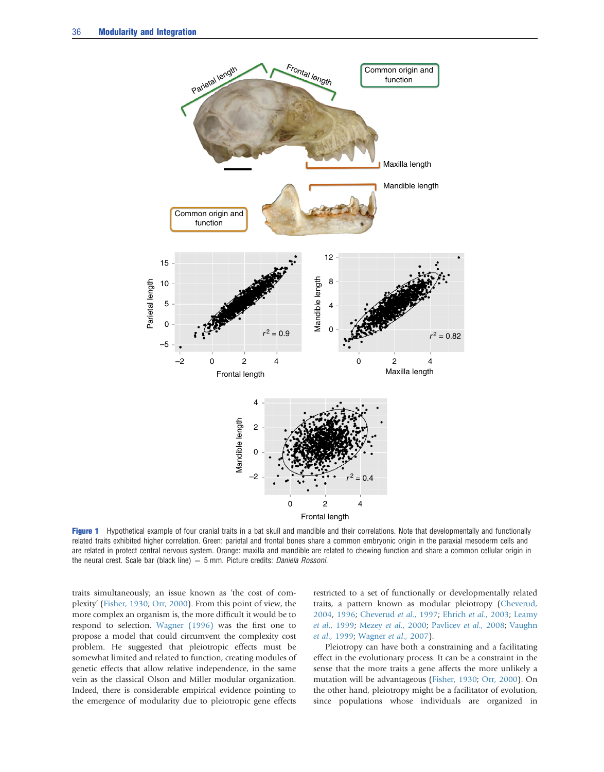<span id="page-2-0"></span>

Figure 1 Hypothetical example of four cranial traits in a bat skull and mandible and their correlations. Note that developmentally and functionally related traits exhibited higher correlation. Green: parietal and frontal bones share a common embryonic origin in the paraxial mesoderm cells and are related in protect central nervous system. Orange: maxilla and mandible are related to chewing function and share a common cellular origin in the neural crest. Scale bar (black line)  $=$  5 mm. Picture credits: *Daniela Rossoni.* 

traits simultaneously; an issue known as 'the cost of complexity' [\(Fisher, 1930;](#page-5-0) [Orr, 2000](#page-6-0)). From this point of view, the more complex an organism is, the more difficult it would be to respond to selection. [Wagner \(1996\)](#page-6-0) was the first one to propose a model that could circumvent the complexity cost problem. He suggested that pleiotropic effects must be somewhat limited and related to function, creating modules of genetic effects that allow relative independence, in the same vein as the classical Olson and Miller modular organization. Indeed, there is considerable empirical evidence pointing to the emergence of modularity due to pleiotropic gene effects restricted to a set of functionally or developmentally related traits, a pattern known as modular pleiotropy ([Cheverud,](#page-5-0) [2004](#page-5-0), [1996](#page-5-0); [Cheverud](#page-5-0) et al., 1997; Ehrich et al[., 2003](#page-5-0); [Leamy](#page-6-0) et al[., 1999](#page-6-0); Mezey et al[., 2000](#page-6-0); [Pavlicev](#page-6-0) et al., 2008; [Vaughn](#page-6-0) et al[., 1999](#page-6-0); [Wagner](#page-6-0) et al., 2007).

Pleiotropy can have both a constraining and a facilitating effect in the evolutionary process. It can be a constraint in the sense that the more traits a gene affects the more unlikely a mutation will be advantageous [\(Fisher, 1930](#page-5-0); [Orr, 2000\)](#page-6-0). On the other hand, pleiotropy might be a facilitator of evolution, since populations whose individuals are organized in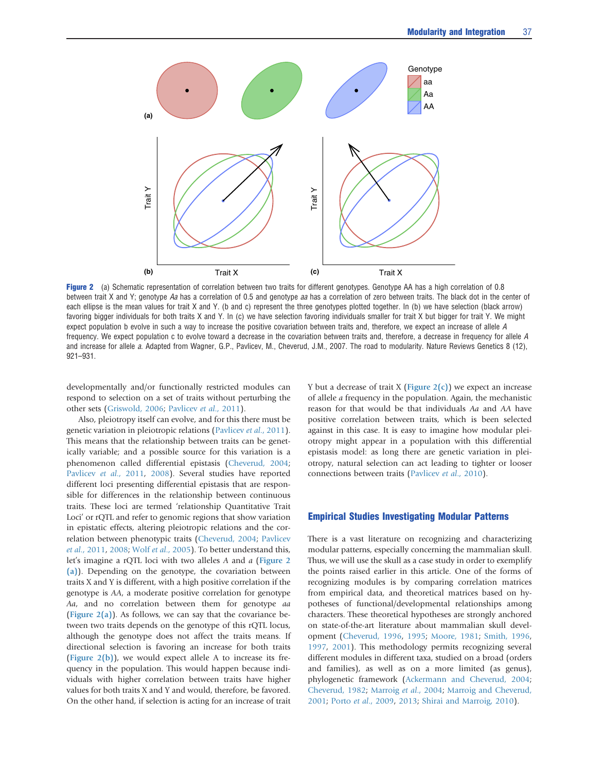

Figure 2 (a) Schematic representation of correlation between two traits for different genotypes. Genotype AA has a high correlation of 0.8 between trait X and Y; genotype Aa has a correlation of 0.5 and genotype aa has a correlation of zero between traits. The black dot in the center of each ellipse is the mean values for trait X and Y. (b and c) represent the three genotypes plotted together. In (b) we have selection (black arrow) favoring bigger individuals for both traits X and Y. In (c) we have selection favoring individuals smaller for trait X but bigger for trait Y. We might expect population b evolve in such a way to increase the positive covariation between traits and, therefore, we expect an increase of allele A frequency. We expect population c to evolve toward a decrease in the covariation between traits and, therefore, a decrease in frequency for allele A and increase for allele a. Adapted from Wagner, G.P., Pavlicev, M., Cheverud, J.M., 2007. The road to modularity. Nature Reviews Genetics 8 (12), 921–931.

developmentally and/or functionally restricted modules can respond to selection on a set of traits without perturbing the other sets ([Griswold, 2006;](#page-5-0) [Pavlicev](#page-6-0) et al., 2011).

Also, pleiotropy itself can evolve, and for this there must be genetic variation in pleiotropic relations [\(Pavlicev](#page-6-0) et al., 2011). This means that the relationship between traits can be genetically variable; and a possible source for this variation is a phenomenon called differential epistasis ([Cheverud, 2004](#page-5-0); [Pavlicev](#page-6-0) et al., 2011, [2008\)](#page-6-0). Several studies have reported different loci presenting differential epistasis that are responsible for differences in the relationship between continuous traits. These loci are termed 'relationship Quantitative Trait Loci' or rQTL and refer to genomic regions that show variation in epistatic effects, altering pleiotropic relations and the correlation between phenotypic traits ([Cheverud, 2004;](#page-5-0) [Pavlicev](#page-6-0) et al[., 2011,](#page-6-0) [2008;](#page-6-0) Wolf et al[., 2005](#page-6-0)). To better understand this, let's imagine a rQTL loci with two alleles A and a (Figure 2 (a)). Depending on the genotype, the covariation between traits X and Y is different, with a high positive correlation if the genotype is AA, a moderate positive correlation for genotype Aa, and no correlation between them for genotype aa (Figure  $2(a)$ ). As follows, we can say that the covariance between two traits depends on the genotype of this rQTL locus, although the genotype does not affect the traits means. If directional selection is favoring an increase for both traits (Figure  $2(b)$ ), we would expect allele A to increase its frequency in the population. This would happen because individuals with higher correlation between traits have higher values for both traits X and Y and would, therefore, be favored. On the other hand, if selection is acting for an increase of trait

Y but a decrease of trait X (Figure  $2(c)$ ) we expect an increase of allele a frequency in the population. Again, the mechanistic reason for that would be that individuals Aa and AA have positive correlation between traits, which is been selected against in this case. It is easy to imagine how modular pleiotropy might appear in a population with this differential epistasis model: as long there are genetic variation in pleiotropy, natural selection can act leading to tighter or looser connections between traits [\(Pavlicev](#page-6-0) et al., 2010).

## Empirical Studies Investigating Modular Patterns

There is a vast literature on recognizing and characterizing modular patterns, especially concerning the mammalian skull. Thus, we will use the skull as a case study in order to exemplify the points raised earlier in this article. One of the forms of recognizing modules is by comparing correlation matrices from empirical data, and theoretical matrices based on hypotheses of functional/developmental relationships among characters. These theoretical hypotheses are strongly anchored on state-of-the-art literature about mammalian skull development ([Cheverud, 1996](#page-5-0), [1995](#page-5-0); [Moore, 1981](#page-6-0); [Smith, 1996](#page-6-0), [1997,](#page-6-0) [2001\)](#page-6-0). This methodology permits recognizing several different modules in different taxa, studied on a broad (orders and families), as well as on a more limited (as genus), phylogenetic framework [\(Ackermann and Cheverud, 2004](#page-5-0); [Cheverud, 1982;](#page-5-0) [Marroig](#page-6-0) et al., 2004; [Marroig and Cheverud,](#page-6-0) [2001;](#page-6-0) Porto et al[., 2009](#page-6-0), [2013;](#page-6-0) [Shirai and Marroig, 2010\)](#page-6-0).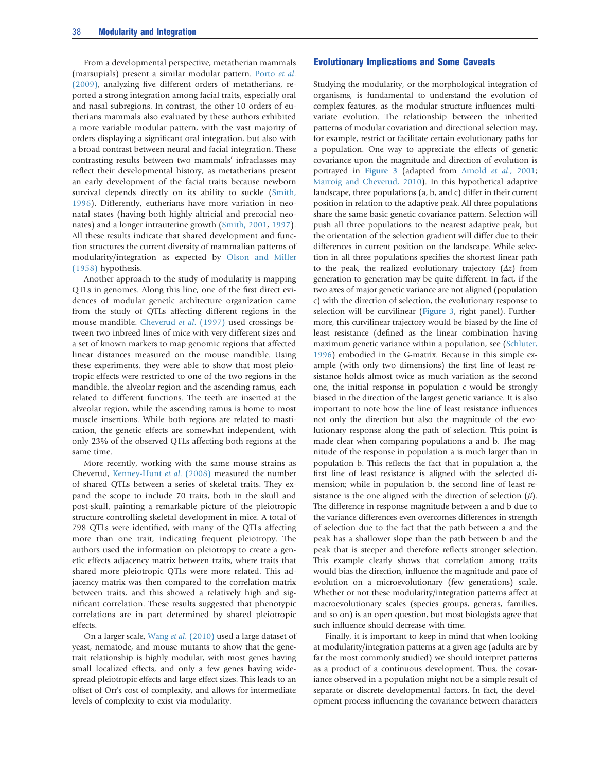From a developmental perspective, metatherian mammals (marsupials) present a similar modular pattern. [Porto](#page-6-0) et al. [\(2009\)](#page-6-0), analyzing five different orders of metatherians, reported a strong integration among facial traits, especially oral and nasal subregions. In contrast, the other 10 orders of eutherians mammals also evaluated by these authors exhibited a more variable modular pattern, with the vast majority of orders displaying a significant oral integration, but also with a broad contrast between neural and facial integration. These contrasting results between two mammals' infraclasses may reflect their developmental history, as metatherians present an early development of the facial traits because newborn survival depends directly on its ability to suckle ([Smith,](#page-6-0) [1996](#page-6-0)). Differently, eutherians have more variation in neonatal states (having both highly altricial and precocial neonates) and a longer intrauterine growth [\(Smith, 2001,](#page-6-0) [1997\)](#page-6-0). All these results indicate that shared development and function structures the current diversity of mammalian patterns of modularity/integration as expected by [Olson and Miller](#page-6-0) [\(1958\)](#page-6-0) hypothesis.

Another approach to the study of modularity is mapping QTLs in genomes. Along this line, one of the first direct evidences of modular genetic architecture organization came from the study of QTLs affecting different regions in the mouse mandible. [Cheverud](#page-5-0) et al. (1997) used crossings between two inbreed lines of mice with very different sizes and a set of known markers to map genomic regions that affected linear distances measured on the mouse mandible. Using these experiments, they were able to show that most pleiotropic effects were restricted to one of the two regions in the mandible, the alveolar region and the ascending ramus, each related to different functions. The teeth are inserted at the alveolar region, while the ascending ramus is home to most muscle insertions. While both regions are related to mastication, the genetic effects are somewhat independent, with only 23% of the observed QTLs affecting both regions at the same time.

More recently, working with the same mouse strains as Cheverud, [Kenney-Hunt](#page-6-0) et al. (2008) measured the number of shared QTLs between a series of skeletal traits. They expand the scope to include 70 traits, both in the skull and post-skull, painting a remarkable picture of the pleiotropic structure controlling skeletal development in mice. A total of 798 QTLs were identified, with many of the QTLs affecting more than one trait, indicating frequent pleiotropy. The authors used the information on pleiotropy to create a genetic effects adjacency matrix between traits, where traits that shared more pleiotropic QTLs were more related. This adjacency matrix was then compared to the correlation matrix between traits, and this showed a relatively high and significant correlation. These results suggested that phenotypic correlations are in part determined by shared pleiotropic effects.

On a larger scale, Wang et al[. \(2010\)](#page-6-0) used a large dataset of yeast, nematode, and mouse mutants to show that the genetrait relationship is highly modular, with most genes having small localized effects, and only a few genes having widespread pleiotropic effects and large effect sizes. This leads to an offset of Orr's cost of complexity, and allows for intermediate levels of complexity to exist via modularity.

## Evolutionary Implications and Some Caveats

Studying the modularity, or the morphological integration of organisms, is fundamental to understand the evolution of complex features, as the modular structure influences multivariate evolution. The relationship between the inherited patterns of modular covariation and directional selection may, for example, restrict or facilitate certain evolutionary paths for a population. One way to appreciate the effects of genetic covariance upon the magnitude and direction of evolution is portrayed in [Figure 3](#page-5-0) (adapted from Arnold et al[., 2001;](#page-5-0) [Marroig and Cheverud, 2010](#page-6-0)). In this hypothetical adaptive landscape, three populations (a, b, and c) differ in their current position in relation to the adaptive peak. All three populations share the same basic genetic covariance pattern. Selection will push all three populations to the nearest adaptive peak, but the orientation of the selection gradient will differ due to their differences in current position on the landscape. While selection in all three populations specifies the shortest linear path to the peak, the realized evolutionary trajectory  $(Δz)$  from generation to generation may be quite different. In fact, if the two axes of major genetic variance are not aligned (population c) with the direction of selection, the evolutionary response to selection will be curvilinear ([Figure 3](#page-5-0), right panel). Furthermore, this curvilinear trajectory would be biased by the line of least resistance (defined as the linear combination having maximum genetic variance within a population, see [\(Schluter,](#page-6-0) [1996](#page-6-0)) embodied in the G-matrix. Because in this simple example (with only two dimensions) the first line of least resistance holds almost twice as much variation as the second one, the initial response in population c would be strongly biased in the direction of the largest genetic variance. It is also important to note how the line of least resistance influences not only the direction but also the magnitude of the evolutionary response along the path of selection. This point is made clear when comparing populations a and b. The magnitude of the response in population a is much larger than in population b. This reflects the fact that in population a, the first line of least resistance is aligned with the selected dimension; while in population b, the second line of least resistance is the one aligned with the direction of selection  $(\beta)$ . The difference in response magnitude between a and b due to the variance differences even overcomes differences in strength of selection due to the fact that the path between a and the peak has a shallower slope than the path between b and the peak that is steeper and therefore reflects stronger selection. This example clearly shows that correlation among traits would bias the direction, influence the magnitude and pace of evolution on a microevolutionary (few generations) scale. Whether or not these modularity/integration patterns affect at macroevolutionary scales (species groups, generas, families, and so on) is an open question, but most biologists agree that such influence should decrease with time.

Finally, it is important to keep in mind that when looking at modularity/integration patterns at a given age (adults are by far the most commonly studied) we should interpret patterns as a product of a continuous development. Thus, the covariance observed in a population might not be a simple result of separate or discrete developmental factors. In fact, the development process influencing the covariance between characters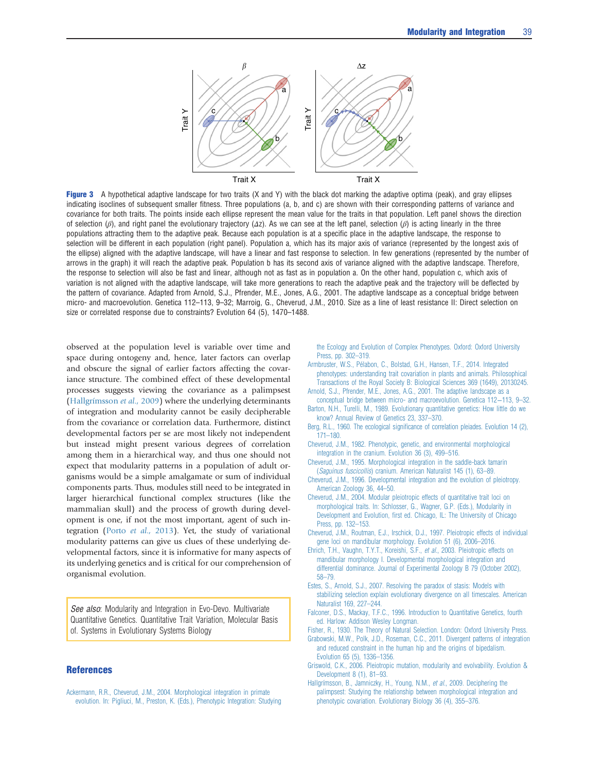<span id="page-5-0"></span>

Figure 3 A hypothetical adaptive landscape for two traits (X and Y) with the black dot marking the adaptive optima (peak), and gray ellipses indicating isoclines of subsequent smaller fitness. Three populations (a, b, and c) are shown with their corresponding patterns of variance and covariance for both traits. The points inside each ellipse represent the mean value for the traits in that population. Left panel shows the direction of selection (β), and right panel the evolutionary trajectory (Δz). As we can see at the left panel, selection (β) is acting linearly in the three populations attracting them to the adaptive peak. Because each population is at a specific place in the adaptive landscape, the response to selection will be different in each population (right panel). Population a, which has its major axis of variance (represented by the longest axis of the ellipse) aligned with the adaptive landscape, will have a linear and fast response to selection. In few generations (represented by the number of arrows in the graph) it will reach the adaptive peak. Population b has its second axis of variance aligned with the adaptive landscape. Therefore, the response to selection will also be fast and linear, although not as fast as in population a. On the other hand, population c, which axis of variation is not aligned with the adaptive landscape, will take more generations to reach the adaptive peak and the trajectory will be deflected by the pattern of covariance. Adapted from Arnold, S.J., Pfrender, M.E., Jones, A.G., 2001. The adaptive landscape as a conceptual bridge between micro- and macroevolution. Genetica 112–113, 9–32; Marroig, G., Cheverud, J.M., 2010. Size as a line of least resistance II: Direct selection on size or correlated response due to constraints? Evolution 64 (5), 1470–1488.

observed at the population level is variable over time and space during ontogeny and, hence, later factors can overlap and obscure the signal of earlier factors affecting the covariance structure. The combined effect of these developmental processes suggests viewing the covariance as a palimpsest (Hallgrímsson et al., 2009) where the underlying determinants of integration and modularity cannot be easily decipherable from the covariance or correlation data. Furthermore, distinct developmental factors per se are most likely not independent but instead might present various degrees of correlation among them in a hierarchical way, and thus one should not expect that modularity patterns in a population of adult organisms would be a simple amalgamate or sum of individual components parts. Thus, modules still need to be integrated in larger hierarchical functional complex structures (like the mammalian skull) and the process of growth during development is one, if not the most important, agent of such integration (Porto et al[., 2013\)](#page-6-0). Yet, the study of variational modularity patterns can give us clues of these underlying developmental factors, since it is informative for many aspects of its underlying genetics and is critical for our comprehension of organismal evolution.

See also: Modularity and Integration in Evo-Devo. Multivariate Quantitative Genetics. Quantitative Trait Variation, Molecular Basis of. Systems in Evolutionary Systems Biology

## **References**

[Ackermann, R.R., Cheverud, J.M., 2004. Morphological integration in primate](http://refhub.elsevier.com/B978-0-12-800049-6.00044-5/sbref1) [evolution. In: Pigliuci, M., Preston, K. \(Eds.\), Phenotypic Integration: Studying](http://refhub.elsevier.com/B978-0-12-800049-6.00044-5/sbref1) [the Ecology and Evolution of Complex Phenotypes. Oxford: Oxford University](http://refhub.elsevier.com/B978-0-12-800049-6.00044-5/sbref1) [Press, pp. 302](http://refhub.elsevier.com/B978-0-12-800049-6.00044-5/sbref1)–319.

- [Armbruster, W.S., Pélabon, C., Bolstad, G.H., Hansen, T.F., 2014. Integrated](http://refhub.elsevier.com/B978-0-12-800049-6.00044-5/sbref2) [phenotypes: understanding trait covariation in plants and animals. Philosophical](http://refhub.elsevier.com/B978-0-12-800049-6.00044-5/sbref2) [Transactions of the Royal Society B: Biological Sciences 369 \(1649\), 20130245.](http://refhub.elsevier.com/B978-0-12-800049-6.00044-5/sbref2)
- [Arnold, S.J., Pfrender, M.E., Jones, A.G., 2001. The adaptive landscape as a](http://refhub.elsevier.com/B978-0-12-800049-6.00044-5/sbref3) [conceptual bridge between micro- and macroevolution. Genetica 112](http://refhub.elsevier.com/B978-0-12-800049-6.00044-5/sbref3)−113, 9–32.
- [Barton, N.H., Turelli, M., 1989. Evolutionary quantitative genetics: How little do we](http://refhub.elsevier.com/B978-0-12-800049-6.00044-5/sbref4) [know? Annual Review of Genetics 23, 337](http://refhub.elsevier.com/B978-0-12-800049-6.00044-5/sbref4)–370.
- Berg, R.L., 1960. The ecological signifi[cance of correlation pleiades. Evolution 14 \(2\),](http://refhub.elsevier.com/B978-0-12-800049-6.00044-5/sbref5) 171–[180.](http://refhub.elsevier.com/B978-0-12-800049-6.00044-5/sbref5)
- [Cheverud, J.M., 1982. Phenotypic, genetic, and environmental morphological](http://refhub.elsevier.com/B978-0-12-800049-6.00044-5/sbref6) [integration in the cranium. Evolution 36 \(3\), 499](http://refhub.elsevier.com/B978-0-12-800049-6.00044-5/sbref6)–516.
- [Cheverud, J.M., 1995. Morphological integration in the saddle-back tamarin](http://refhub.elsevier.com/B978-0-12-800049-6.00044-5/sbref7) (Saguinus fuscicollis[\) cranium. American Naturalist 145 \(1\), 63](http://refhub.elsevier.com/B978-0-12-800049-6.00044-5/sbref7)–89.
- [Cheverud, J.M., 1996. Developmental integration and the evolution of pleiotropy.](http://refhub.elsevier.com/B978-0-12-800049-6.00044-5/sbref8) [American Zoology 36, 44](http://refhub.elsevier.com/B978-0-12-800049-6.00044-5/sbref8)–50.
- [Cheverud, J.M., 2004. Modular pleiotropic effects of quantitative trait loci on](http://refhub.elsevier.com/B978-0-12-800049-6.00044-5/sbref9) [morphological traits. In: Schlosser, G., Wagner, G.P. \(Eds.\), Modularity in](http://refhub.elsevier.com/B978-0-12-800049-6.00044-5/sbref9) Development and Evolution, fi[rst ed. Chicago, IL: The University of Chicago](http://refhub.elsevier.com/B978-0-12-800049-6.00044-5/sbref9) [Press, pp. 132](http://refhub.elsevier.com/B978-0-12-800049-6.00044-5/sbref9)–153.
- [Cheverud, J.M., Routman, E.J., Irschick, D.J., 1997. Pleiotropic effects of individual](http://refhub.elsevier.com/B978-0-12-800049-6.00044-5/sbref10) [gene loci on mandibular morphology. Evolution 51 \(6\), 2006](http://refhub.elsevier.com/B978-0-12-800049-6.00044-5/sbref10)–2016.
- [Ehrich, T.H., Vaughn, T.Y.T., Koreishi, S.F.,](http://refhub.elsevier.com/B978-0-12-800049-6.00044-5/sbref11) et al., 2003. Pleiotropic effects on [mandibular morphology I. Developmental morphological integration and](http://refhub.elsevier.com/B978-0-12-800049-6.00044-5/sbref11) [differential dominance. Journal of Experimental Zoology B 79 \(October 2002\),](http://refhub.elsevier.com/B978-0-12-800049-6.00044-5/sbref11) 58–[79.](http://refhub.elsevier.com/B978-0-12-800049-6.00044-5/sbref11)
- [Estes, S., Arnold, S.J., 2007. Resolving the paradox of stasis: Models with](http://refhub.elsevier.com/B978-0-12-800049-6.00044-5/sbref12) [stabilizing selection explain evolutionary divergence on all timescales. American](http://refhub.elsevier.com/B978-0-12-800049-6.00044-5/sbref12) [Naturalist 169, 227](http://refhub.elsevier.com/B978-0-12-800049-6.00044-5/sbref12)–244.
- [Falconer, D.S., Mackay, T.F.C., 1996. Introduction to Quantitative Genetics, fourth](http://refhub.elsevier.com/B978-0-12-800049-6.00044-5/sbref13) [ed. Harlow: Addison Wesley Longman.](http://refhub.elsevier.com/B978-0-12-800049-6.00044-5/sbref13)
- [Fisher, R., 1930. The Theory of Natural Selection. London: Oxford University Press.](http://refhub.elsevier.com/B978-0-12-800049-6.00044-5/sbref14)
- [Grabowski, M.W., Polk, J.D., Roseman, C.C., 2011. Divergent patterns of integration](http://refhub.elsevier.com/B978-0-12-800049-6.00044-5/sbref15) [and reduced constraint in the human hip and the origins of bipedalism.](http://refhub.elsevier.com/B978-0-12-800049-6.00044-5/sbref15) [Evolution 65 \(5\), 1336](http://refhub.elsevier.com/B978-0-12-800049-6.00044-5/sbref15)–1356.
- [Griswold, C.K., 2006. Pleiotropic mutation, modularity and evolvability. Evolution](http://refhub.elsevier.com/B978-0-12-800049-6.00044-5/sbref16) & [Development 8 \(1\), 81](http://refhub.elsevier.com/B978-0-12-800049-6.00044-5/sbref16)–93.
- [Hallgrímsson, B., Jamniczky, H., Young, N.M.,](http://refhub.elsevier.com/B978-0-12-800049-6.00044-5/sbref17) et al., 2009. Deciphering the [palimpsest: Studying the relationship between morphological integration and](http://refhub.elsevier.com/B978-0-12-800049-6.00044-5/sbref17) [phenotypic covariation. Evolutionary Biology 36 \(4\), 355](http://refhub.elsevier.com/B978-0-12-800049-6.00044-5/sbref17)–376.